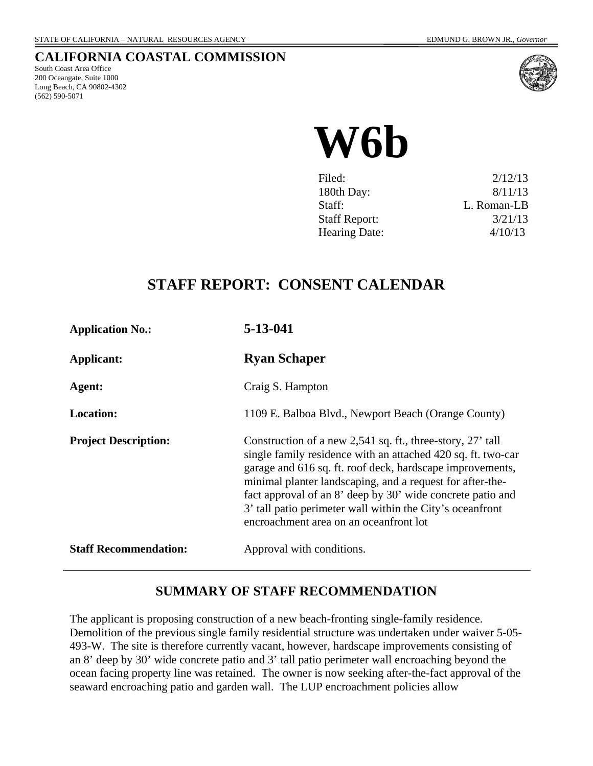# **CALIFORNIA COASTAL COMMISSION**

South Coast Area Office 200 Oceangate, Suite 1000 Long Beach, CA 90802-4302 (562) 590-5071



# **W6b**

| Filed:               | 2/12/13     |
|----------------------|-------------|
| 180th Day:           | 8/11/13     |
| Staff:               | L. Roman-LB |
| <b>Staff Report:</b> | 3/21/13     |
| <b>Hearing Date:</b> | 4/10/13     |

# **STAFF REPORT: CONSENT CALENDAR**

| <b>Application No.:</b>      | 5-13-041                                                                                                                                                                                                                                                                                                                                                                                                                  |
|------------------------------|---------------------------------------------------------------------------------------------------------------------------------------------------------------------------------------------------------------------------------------------------------------------------------------------------------------------------------------------------------------------------------------------------------------------------|
| Applicant:                   | <b>Ryan Schaper</b>                                                                                                                                                                                                                                                                                                                                                                                                       |
| Agent:                       | Craig S. Hampton                                                                                                                                                                                                                                                                                                                                                                                                          |
| <b>Location:</b>             | 1109 E. Balboa Blvd., Newport Beach (Orange County)                                                                                                                                                                                                                                                                                                                                                                       |
| <b>Project Description:</b>  | Construction of a new 2,541 sq. ft., three-story, 27' tall<br>single family residence with an attached 420 sq. ft. two-car<br>garage and 616 sq. ft. roof deck, hardscape improvements,<br>minimal planter landscaping, and a request for after-the-<br>fact approval of an 8' deep by 30' wide concrete patio and<br>3' tall patio perimeter wall within the City's oceanfront<br>encroachment area on an oceanfront lot |
| <b>Staff Recommendation:</b> | Approval with conditions.                                                                                                                                                                                                                                                                                                                                                                                                 |

# **SUMMARY OF STAFF RECOMMENDATION**

The applicant is proposing construction of a new beach-fronting single-family residence. Demolition of the previous single family residential structure was undertaken under waiver 5-05- 493-W. The site is therefore currently vacant, however, hardscape improvements consisting of an 8' deep by 30' wide concrete patio and 3' tall patio perimeter wall encroaching beyond the ocean facing property line was retained. The owner is now seeking after-the-fact approval of the seaward encroaching patio and garden wall. The LUP encroachment policies allow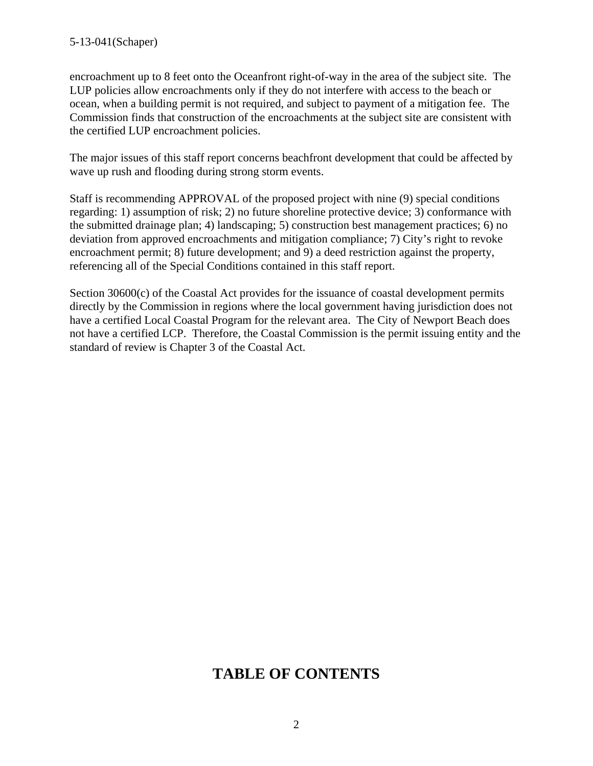#### 5-13-041(Schaper)

encroachment up to 8 feet onto the Oceanfront right-of-way in the area of the subject site. The LUP policies allow encroachments only if they do not interfere with access to the beach or ocean, when a building permit is not required, and subject to payment of a mitigation fee. The Commission finds that construction of the encroachments at the subject site are consistent with the certified LUP encroachment policies.

The major issues of this staff report concerns beachfront development that could be affected by wave up rush and flooding during strong storm events.

Staff is recommending APPROVAL of the proposed project with nine (9) special conditions regarding: 1) assumption of risk; 2) no future shoreline protective device; 3) conformance with the submitted drainage plan; 4) landscaping; 5) construction best management practices; 6) no deviation from approved encroachments and mitigation compliance; 7) City's right to revoke encroachment permit; 8) future development; and 9) a deed restriction against the property, referencing all of the Special Conditions contained in this staff report.

Section 30600(c) of the Coastal Act provides for the issuance of coastal development permits directly by the Commission in regions where the local government having jurisdiction does not have a certified Local Coastal Program for the relevant area. The City of Newport Beach does not have a certified LCP. Therefore, the Coastal Commission is the permit issuing entity and the standard of review is Chapter 3 of the Coastal Act.

# **TABLE OF CONTENTS**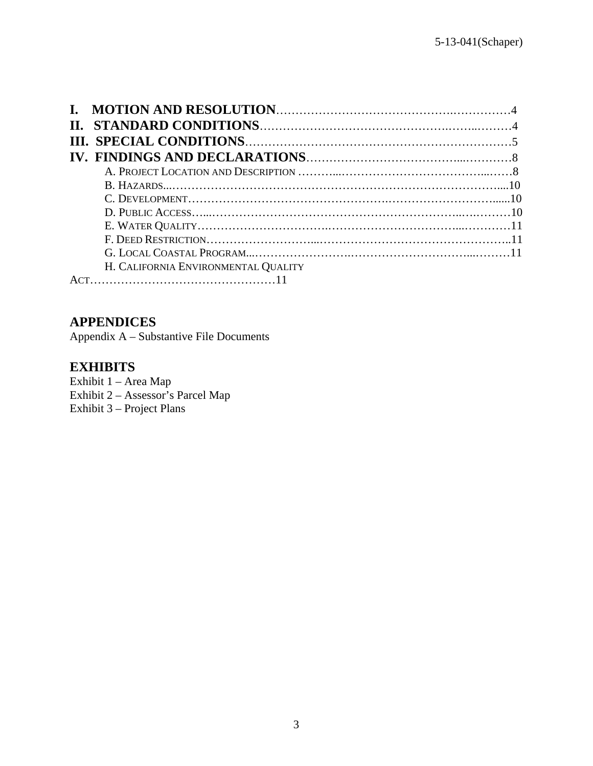| H. CALIFORNIA ENVIRONMENTAL QUALITY |  |
|-------------------------------------|--|
|                                     |  |

# **APPENDICES**

Appendix A – Substantive File Documents

## **EXHIBITS**

Exhibit 1 – Area Map Exhibit 2 – Assessor's Parcel Map Exhibit 3 – Project Plans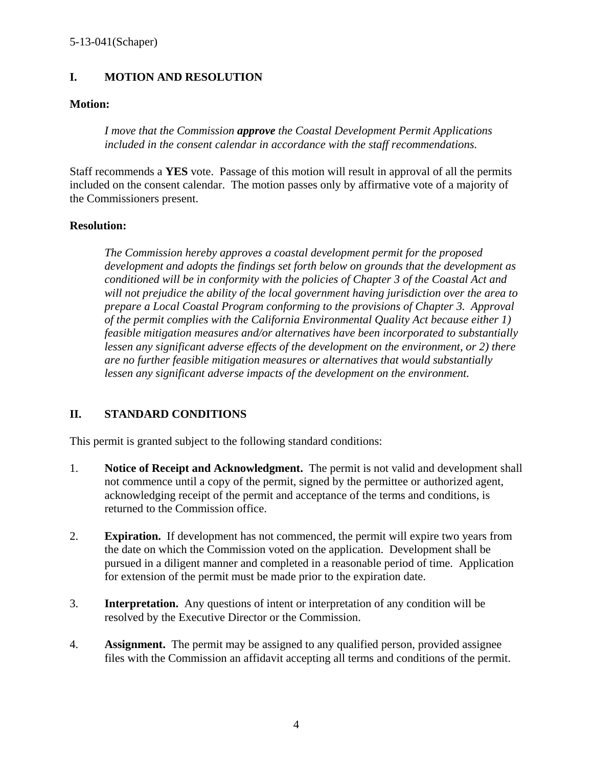#### **I. MOTION AND RESOLUTION**

#### **Motion:**

*I move that the Commission approve the Coastal Development Permit Applications included in the consent calendar in accordance with the staff recommendations.* 

Staff recommends a **YES** vote. Passage of this motion will result in approval of all the permits included on the consent calendar. The motion passes only by affirmative vote of a majority of the Commissioners present.

#### **Resolution:**

*The Commission hereby approves a coastal development permit for the proposed development and adopts the findings set forth below on grounds that the development as conditioned will be in conformity with the policies of Chapter 3 of the Coastal Act and will not prejudice the ability of the local government having jurisdiction over the area to prepare a Local Coastal Program conforming to the provisions of Chapter 3. Approval of the permit complies with the California Environmental Quality Act because either 1) feasible mitigation measures and/or alternatives have been incorporated to substantially lessen any significant adverse effects of the development on the environment, or 2) there are no further feasible mitigation measures or alternatives that would substantially lessen any significant adverse impacts of the development on the environment.* 

#### **II. STANDARD CONDITIONS**

This permit is granted subject to the following standard conditions:

- 1. **Notice of Receipt and Acknowledgment.** The permit is not valid and development shall not commence until a copy of the permit, signed by the permittee or authorized agent, acknowledging receipt of the permit and acceptance of the terms and conditions, is returned to the Commission office.
- 2. **Expiration.** If development has not commenced, the permit will expire two years from the date on which the Commission voted on the application. Development shall be pursued in a diligent manner and completed in a reasonable period of time. Application for extension of the permit must be made prior to the expiration date.
- 3. **Interpretation.** Any questions of intent or interpretation of any condition will be resolved by the Executive Director or the Commission.
- 4. **Assignment.** The permit may be assigned to any qualified person, provided assignee files with the Commission an affidavit accepting all terms and conditions of the permit.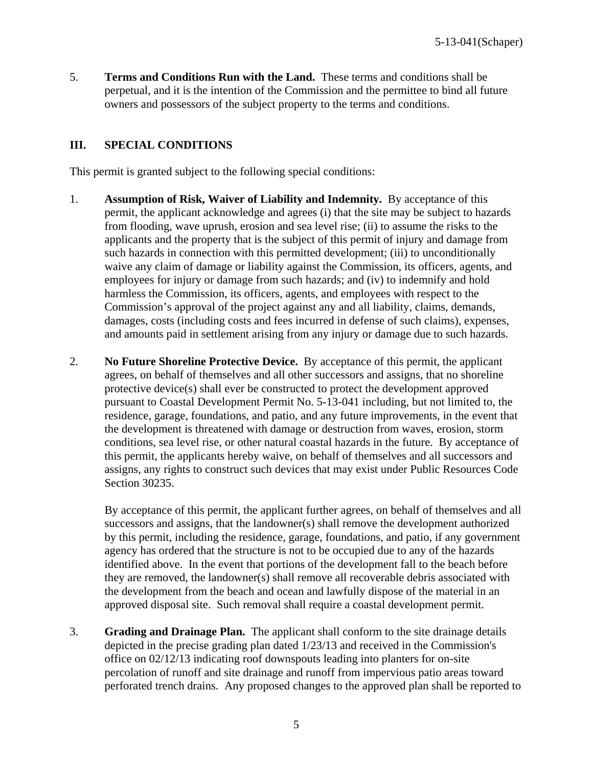5. **Terms and Conditions Run with the Land.** These terms and conditions shall be perpetual, and it is the intention of the Commission and the permittee to bind all future owners and possessors of the subject property to the terms and conditions.

#### **III. SPECIAL CONDITIONS**

This permit is granted subject to the following special conditions:

- 1. **Assumption of Risk, Waiver of Liability and Indemnity.** By acceptance of this permit, the applicant acknowledge and agrees (i) that the site may be subject to hazards from flooding, wave uprush, erosion and sea level rise; (ii) to assume the risks to the applicants and the property that is the subject of this permit of injury and damage from such hazards in connection with this permitted development; (iii) to unconditionally waive any claim of damage or liability against the Commission, its officers, agents, and employees for injury or damage from such hazards; and (iv) to indemnify and hold harmless the Commission, its officers, agents, and employees with respect to the Commission's approval of the project against any and all liability, claims, demands, damages, costs (including costs and fees incurred in defense of such claims), expenses, and amounts paid in settlement arising from any injury or damage due to such hazards.
- 2. **No Future Shoreline Protective Device.** By acceptance of this permit, the applicant agrees, on behalf of themselves and all other successors and assigns, that no shoreline protective device(s) shall ever be constructed to protect the development approved pursuant to Coastal Development Permit No. 5-13-041 including, but not limited to, the residence, garage, foundations, and patio, and any future improvements, in the event that the development is threatened with damage or destruction from waves, erosion, storm conditions, sea level rise, or other natural coastal hazards in the future. By acceptance of this permit, the applicants hereby waive, on behalf of themselves and all successors and assigns, any rights to construct such devices that may exist under Public Resources Code Section 30235.

By acceptance of this permit, the applicant further agrees, on behalf of themselves and all successors and assigns, that the landowner(s) shall remove the development authorized by this permit, including the residence, garage, foundations, and patio, if any government agency has ordered that the structure is not to be occupied due to any of the hazards identified above. In the event that portions of the development fall to the beach before they are removed, the landowner(s) shall remove all recoverable debris associated with the development from the beach and ocean and lawfully dispose of the material in an approved disposal site. Such removal shall require a coastal development permit.

3. **Grading and Drainage Plan.** The applicant shall conform to the site drainage details depicted in the precise grading plan dated 1/23/13 and received in the Commission's office on 02/12/13 indicating roof downspouts leading into planters for on-site percolation of runoff and site drainage and runoff from impervious patio areas toward perforated trench drains. Any proposed changes to the approved plan shall be reported to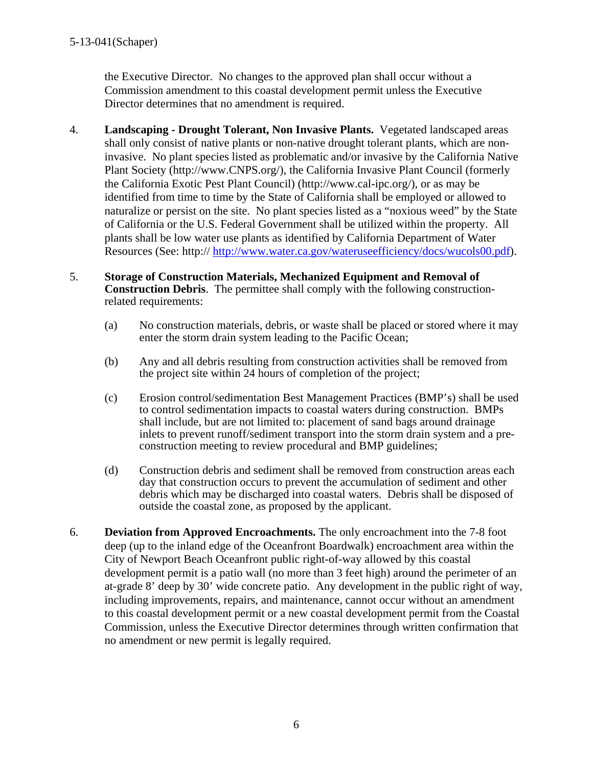the Executive Director. No changes to the approved plan shall occur without a Commission amendment to this coastal development permit unless the Executive Director determines that no amendment is required.

- 4. **Landscaping Drought Tolerant, Non Invasive Plants.** Vegetated landscaped areas shall only consist of native plants or non-native drought tolerant plants, which are noninvasive. No plant species listed as problematic and/or invasive by the California Native Plant Society (http://www.CNPS.org/), the California Invasive Plant Council (formerly the California Exotic Pest Plant Council) (http://www.cal-ipc.org/), or as may be identified from time to time by the State of California shall be employed or allowed to naturalize or persist on the site. No plant species listed as a "noxious weed" by the State of California or the U.S. Federal Government shall be utilized within the property. All plants shall be low water use plants as identified by California Department of Water Resources (See: http:// [http://www.water.ca.gov/wateruseefficiency/docs/wucols00.pdf\)](http://www.water.ca.gov/wateruseefficiency/docs/wucols00.pdf).
- 5. **Storage of Construction Materials, Mechanized Equipment and Removal of Construction Debris**. The permittee shall comply with the following constructionrelated requirements:
	- (a) No construction materials, debris, or waste shall be placed or stored where it may enter the storm drain system leading to the Pacific Ocean;
	- (b) Any and all debris resulting from construction activities shall be removed from the project site within 24 hours of completion of the project;
	- (c) Erosion control/sedimentation Best Management Practices (BMP's) shall be used to control sedimentation impacts to coastal waters during construction. BMPs shall include, but are not limited to: placement of sand bags around drainage inlets to prevent runoff/sediment transport into the storm drain system and a preconstruction meeting to review procedural and BMP guidelines;
	- (d) Construction debris and sediment shall be removed from construction areas each day that construction occurs to prevent the accumulation of sediment and other debris which may be discharged into coastal waters. Debris shall be disposed of outside the coastal zone, as proposed by the applicant.
- 6. **Deviation from Approved Encroachments.** The only encroachment into the 7-8 foot deep (up to the inland edge of the Oceanfront Boardwalk) encroachment area within the City of Newport Beach Oceanfront public right-of-way allowed by this coastal development permit is a patio wall (no more than 3 feet high) around the perimeter of an at-grade 8' deep by 30' wide concrete patio. Any development in the public right of way, including improvements, repairs, and maintenance, cannot occur without an amendment to this coastal development permit or a new coastal development permit from the Coastal Commission, unless the Executive Director determines through written confirmation that no amendment or new permit is legally required.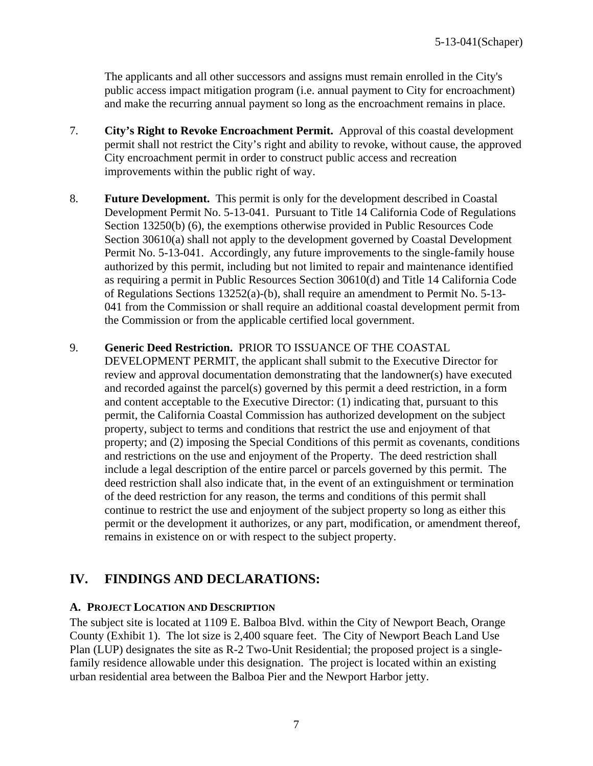The applicants and all other successors and assigns must remain enrolled in the City's public access impact mitigation program (i.e. annual payment to City for encroachment) and make the recurring annual payment so long as the encroachment remains in place.

- 7. **City's Right to Revoke Encroachment Permit.** Approval of this coastal development permit shall not restrict the City's right and ability to revoke, without cause, the approved City encroachment permit in order to construct public access and recreation improvements within the public right of way.
- 8. **Future Development.** This permit is only for the development described in Coastal Development Permit No. 5-13-041. Pursuant to Title 14 California Code of Regulations Section 13250(b) (6), the exemptions otherwise provided in Public Resources Code Section 30610(a) shall not apply to the development governed by Coastal Development Permit No. 5-13-041. Accordingly, any future improvements to the single-family house authorized by this permit, including but not limited to repair and maintenance identified as requiring a permit in Public Resources Section 30610(d) and Title 14 California Code of Regulations Sections 13252(a)-(b), shall require an amendment to Permit No. 5-13- 041 from the Commission or shall require an additional coastal development permit from the Commission or from the applicable certified local government.
- 9. **Generic Deed Restriction.** PRIOR TO ISSUANCE OF THE COASTAL
	- DEVELOPMENT PERMIT, the applicant shall submit to the Executive Director for review and approval documentation demonstrating that the landowner(s) have executed and recorded against the parcel(s) governed by this permit a deed restriction, in a form and content acceptable to the Executive Director: (1) indicating that, pursuant to this permit, the California Coastal Commission has authorized development on the subject property, subject to terms and conditions that restrict the use and enjoyment of that property; and (2) imposing the Special Conditions of this permit as covenants, conditions and restrictions on the use and enjoyment of the Property. The deed restriction shall include a legal description of the entire parcel or parcels governed by this permit. The deed restriction shall also indicate that, in the event of an extinguishment or termination of the deed restriction for any reason, the terms and conditions of this permit shall continue to restrict the use and enjoyment of the subject property so long as either this permit or the development it authorizes, or any part, modification, or amendment thereof, remains in existence on or with respect to the subject property.

# **IV. FINDINGS AND DECLARATIONS:**

#### **A. PROJECT LOCATION AND DESCRIPTION**

The subject site is located at 1109 E. Balboa Blvd. within the City of Newport Beach, Orange County (Exhibit 1). The lot size is 2,400 square feet. The City of Newport Beach Land Use Plan (LUP) designates the site as R-2 Two-Unit Residential; the proposed project is a singlefamily residence allowable under this designation. The project is located within an existing urban residential area between the Balboa Pier and the Newport Harbor jetty.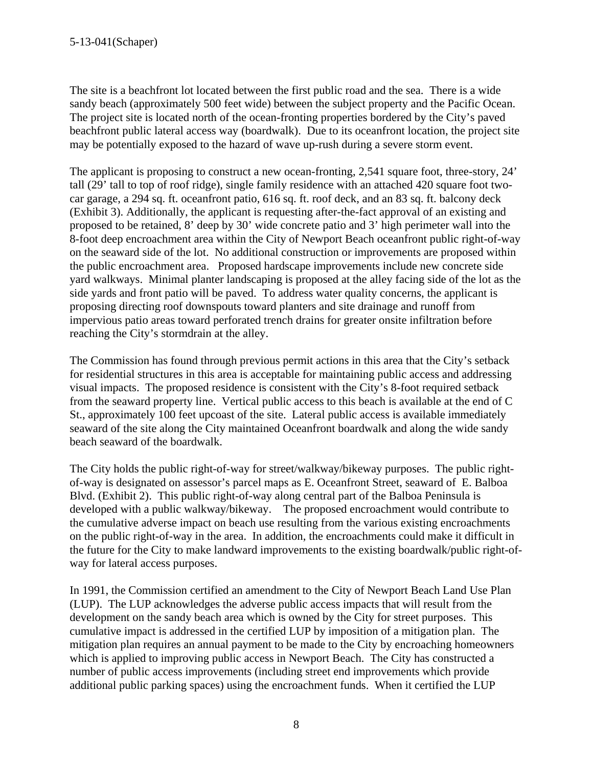The site is a beachfront lot located between the first public road and the sea. There is a wide sandy beach (approximately 500 feet wide) between the subject property and the Pacific Ocean. The project site is located north of the ocean-fronting properties bordered by the City's paved beachfront public lateral access way (boardwalk). Due to its oceanfront location, the project site may be potentially exposed to the hazard of wave up-rush during a severe storm event.

The applicant is proposing to construct a new ocean-fronting, 2,541 square foot, three-story, 24' tall (29' tall to top of roof ridge), single family residence with an attached 420 square foot twocar garage, a 294 sq. ft. oceanfront patio, 616 sq. ft. roof deck, and an 83 sq. ft. balcony deck (Exhibit 3). Additionally, the applicant is requesting after-the-fact approval of an existing and proposed to be retained, 8' deep by 30' wide concrete patio and 3' high perimeter wall into the 8-foot deep encroachment area within the City of Newport Beach oceanfront public right-of-way on the seaward side of the lot. No additional construction or improvements are proposed within the public encroachment area. Proposed hardscape improvements include new concrete side yard walkways. Minimal planter landscaping is proposed at the alley facing side of the lot as the side yards and front patio will be paved. To address water quality concerns, the applicant is proposing directing roof downspouts toward planters and site drainage and runoff from impervious patio areas toward perforated trench drains for greater onsite infiltration before reaching the City's stormdrain at the alley.

The Commission has found through previous permit actions in this area that the City's setback for residential structures in this area is acceptable for maintaining public access and addressing visual impacts. The proposed residence is consistent with the City's 8-foot required setback from the seaward property line. Vertical public access to this beach is available at the end of C St., approximately 100 feet upcoast of the site. Lateral public access is available immediately seaward of the site along the City maintained Oceanfront boardwalk and along the wide sandy beach seaward of the boardwalk.

The City holds the public right-of-way for street/walkway/bikeway purposes. The public rightof-way is designated on assessor's parcel maps as E. Oceanfront Street, seaward of E. Balboa Blvd. (Exhibit 2). This public right-of-way along central part of the Balboa Peninsula is developed with a public walkway/bikeway. The proposed encroachment would contribute to the cumulative adverse impact on beach use resulting from the various existing encroachments on the public right-of-way in the area. In addition, the encroachments could make it difficult in the future for the City to make landward improvements to the existing boardwalk/public right-ofway for lateral access purposes.

In 1991, the Commission certified an amendment to the City of Newport Beach Land Use Plan (LUP). The LUP acknowledges the adverse public access impacts that will result from the development on the sandy beach area which is owned by the City for street purposes. This cumulative impact is addressed in the certified LUP by imposition of a mitigation plan. The mitigation plan requires an annual payment to be made to the City by encroaching homeowners which is applied to improving public access in Newport Beach. The City has constructed a number of public access improvements (including street end improvements which provide additional public parking spaces) using the encroachment funds. When it certified the LUP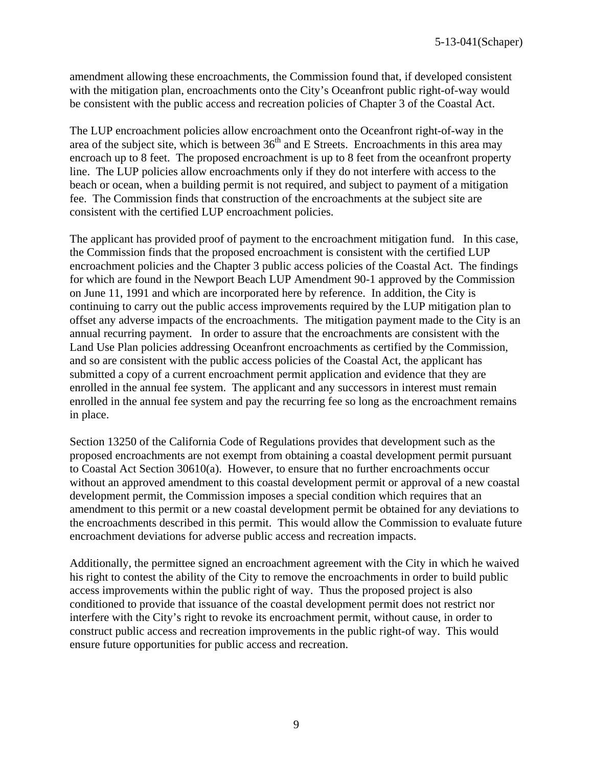amendment allowing these encroachments, the Commission found that, if developed consistent with the mitigation plan, encroachments onto the City's Oceanfront public right-of-way would be consistent with the public access and recreation policies of Chapter 3 of the Coastal Act.

The LUP encroachment policies allow encroachment onto the Oceanfront right-of-way in the area of the subject site, which is between  $36<sup>th</sup>$  and E Streets. Encroachments in this area may encroach up to 8 feet. The proposed encroachment is up to 8 feet from the oceanfront property line. The LUP policies allow encroachments only if they do not interfere with access to the beach or ocean, when a building permit is not required, and subject to payment of a mitigation fee. The Commission finds that construction of the encroachments at the subject site are consistent with the certified LUP encroachment policies.

The applicant has provided proof of payment to the encroachment mitigation fund. In this case, the Commission finds that the proposed encroachment is consistent with the certified LUP encroachment policies and the Chapter 3 public access policies of the Coastal Act. The findings for which are found in the Newport Beach LUP Amendment 90-1 approved by the Commission on June 11, 1991 and which are incorporated here by reference. In addition, the City is continuing to carry out the public access improvements required by the LUP mitigation plan to offset any adverse impacts of the encroachments. The mitigation payment made to the City is an annual recurring payment. In order to assure that the encroachments are consistent with the Land Use Plan policies addressing Oceanfront encroachments as certified by the Commission, and so are consistent with the public access policies of the Coastal Act, the applicant has submitted a copy of a current encroachment permit application and evidence that they are enrolled in the annual fee system. The applicant and any successors in interest must remain enrolled in the annual fee system and pay the recurring fee so long as the encroachment remains in place.

Section 13250 of the California Code of Regulations provides that development such as the proposed encroachments are not exempt from obtaining a coastal development permit pursuant to Coastal Act Section 30610(a). However, to ensure that no further encroachments occur without an approved amendment to this coastal development permit or approval of a new coastal development permit, the Commission imposes a special condition which requires that an amendment to this permit or a new coastal development permit be obtained for any deviations to the encroachments described in this permit. This would allow the Commission to evaluate future encroachment deviations for adverse public access and recreation impacts.

Additionally, the permittee signed an encroachment agreement with the City in which he waived his right to contest the ability of the City to remove the encroachments in order to build public access improvements within the public right of way. Thus the proposed project is also conditioned to provide that issuance of the coastal development permit does not restrict nor interfere with the City's right to revoke its encroachment permit, without cause, in order to construct public access and recreation improvements in the public right-of way. This would ensure future opportunities for public access and recreation.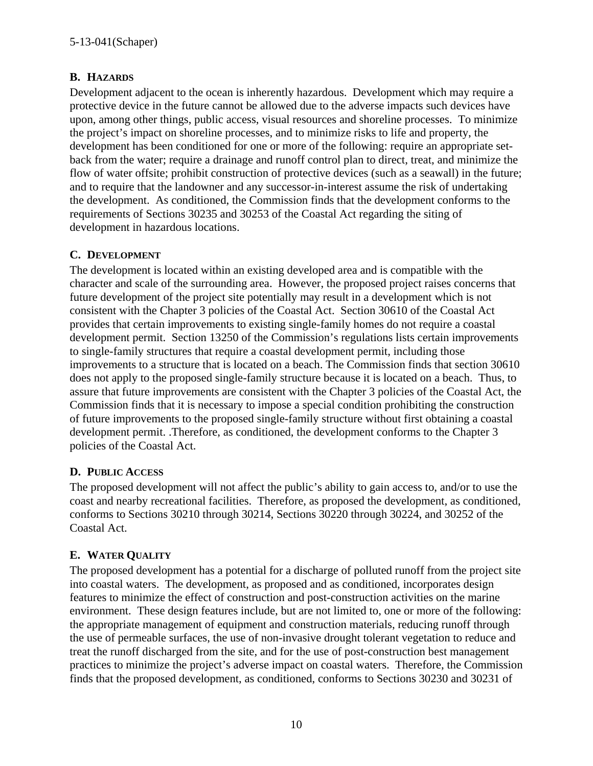## **B. HAZARDS**

Development adjacent to the ocean is inherently hazardous. Development which may require a protective device in the future cannot be allowed due to the adverse impacts such devices have upon, among other things, public access, visual resources and shoreline processes. To minimize the project's impact on shoreline processes, and to minimize risks to life and property, the development has been conditioned for one or more of the following: require an appropriate setback from the water; require a drainage and runoff control plan to direct, treat, and minimize the flow of water offsite; prohibit construction of protective devices (such as a seawall) in the future; and to require that the landowner and any successor-in-interest assume the risk of undertaking the development. As conditioned, the Commission finds that the development conforms to the requirements of Sections 30235 and 30253 of the Coastal Act regarding the siting of development in hazardous locations.

## **C. DEVELOPMENT**

The development is located within an existing developed area and is compatible with the character and scale of the surrounding area. However, the proposed project raises concerns that future development of the project site potentially may result in a development which is not consistent with the Chapter 3 policies of the Coastal Act. Section 30610 of the Coastal Act provides that certain improvements to existing single-family homes do not require a coastal development permit. Section 13250 of the Commission's regulations lists certain improvements to single-family structures that require a coastal development permit, including those improvements to a structure that is located on a beach. The Commission finds that section 30610 does not apply to the proposed single-family structure because it is located on a beach. Thus, to assure that future improvements are consistent with the Chapter 3 policies of the Coastal Act, the Commission finds that it is necessary to impose a special condition prohibiting the construction of future improvements to the proposed single-family structure without first obtaining a coastal development permit. .Therefore, as conditioned, the development conforms to the Chapter 3 policies of the Coastal Act.

#### **D. PUBLIC ACCESS**

The proposed development will not affect the public's ability to gain access to, and/or to use the coast and nearby recreational facilities. Therefore, as proposed the development, as conditioned, conforms to Sections 30210 through 30214, Sections 30220 through 30224, and 30252 of the Coastal Act.

## **E. WATER QUALITY**

The proposed development has a potential for a discharge of polluted runoff from the project site into coastal waters. The development, as proposed and as conditioned, incorporates design features to minimize the effect of construction and post-construction activities on the marine environment. These design features include, but are not limited to, one or more of the following: the appropriate management of equipment and construction materials, reducing runoff through the use of permeable surfaces, the use of non-invasive drought tolerant vegetation to reduce and treat the runoff discharged from the site, and for the use of post-construction best management practices to minimize the project's adverse impact on coastal waters. Therefore, the Commission finds that the proposed development, as conditioned, conforms to Sections 30230 and 30231 of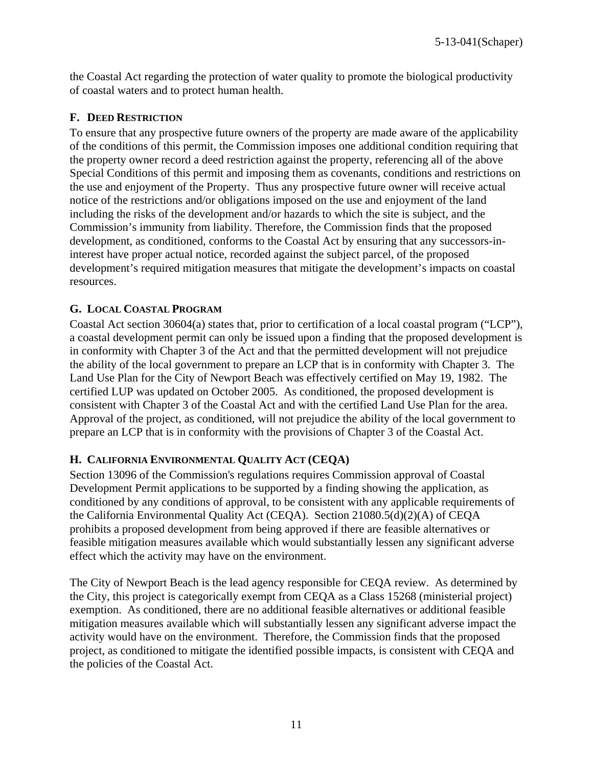the Coastal Act regarding the protection of water quality to promote the biological productivity of coastal waters and to protect human health.

#### **F. DEED RESTRICTION**

To ensure that any prospective future owners of the property are made aware of the applicability of the conditions of this permit, the Commission imposes one additional condition requiring that the property owner record a deed restriction against the property, referencing all of the above Special Conditions of this permit and imposing them as covenants, conditions and restrictions on the use and enjoyment of the Property. Thus any prospective future owner will receive actual notice of the restrictions and/or obligations imposed on the use and enjoyment of the land including the risks of the development and/or hazards to which the site is subject, and the Commission's immunity from liability. Therefore, the Commission finds that the proposed development, as conditioned, conforms to the Coastal Act by ensuring that any successors-ininterest have proper actual notice, recorded against the subject parcel, of the proposed development's required mitigation measures that mitigate the development's impacts on coastal resources.

#### **G. LOCAL COASTAL PROGRAM**

Coastal Act section 30604(a) states that, prior to certification of a local coastal program ("LCP"), a coastal development permit can only be issued upon a finding that the proposed development is in conformity with Chapter 3 of the Act and that the permitted development will not prejudice the ability of the local government to prepare an LCP that is in conformity with Chapter 3. The Land Use Plan for the City of Newport Beach was effectively certified on May 19, 1982. The certified LUP was updated on October 2005. As conditioned, the proposed development is consistent with Chapter 3 of the Coastal Act and with the certified Land Use Plan for the area. Approval of the project, as conditioned, will not prejudice the ability of the local government to prepare an LCP that is in conformity with the provisions of Chapter 3 of the Coastal Act.

#### **H. CALIFORNIA ENVIRONMENTAL QUALITY ACT (CEQA)**

Section 13096 of the Commission's regulations requires Commission approval of Coastal Development Permit applications to be supported by a finding showing the application, as conditioned by any conditions of approval, to be consistent with any applicable requirements of the California Environmental Quality Act (CEQA). Section 21080.5(d)(2)(A) of CEQA prohibits a proposed development from being approved if there are feasible alternatives or feasible mitigation measures available which would substantially lessen any significant adverse effect which the activity may have on the environment.

The City of Newport Beach is the lead agency responsible for CEQA review. As determined by the City, this project is categorically exempt from CEQA as a Class 15268 (ministerial project) exemption. As conditioned, there are no additional feasible alternatives or additional feasible mitigation measures available which will substantially lessen any significant adverse impact the activity would have on the environment. Therefore, the Commission finds that the proposed project, as conditioned to mitigate the identified possible impacts, is consistent with CEQA and the policies of the Coastal Act.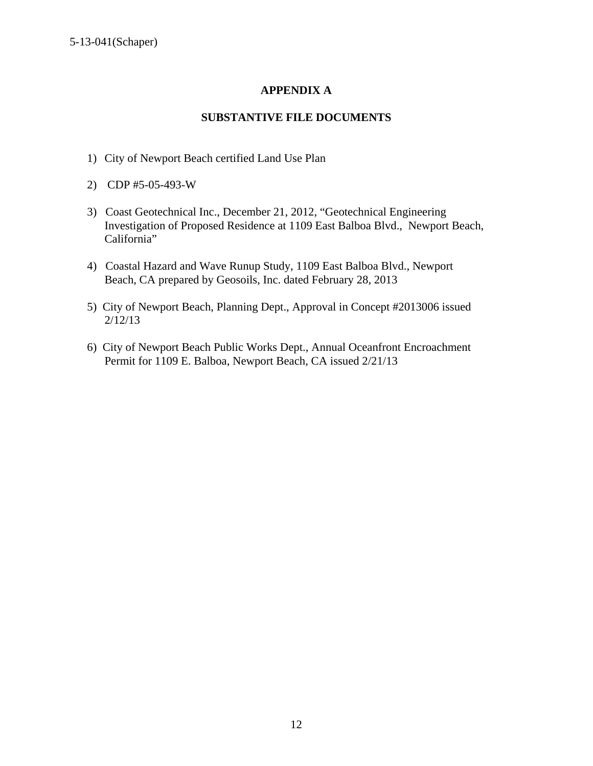## **APPENDIX A**

#### **SUBSTANTIVE FILE DOCUMENTS**

- 1) City of Newport Beach certified Land Use Plan
- 2) CDP #5-05-493-W
- 3) Coast Geotechnical Inc., December 21, 2012, "Geotechnical Engineering Investigation of Proposed Residence at 1109 East Balboa Blvd., Newport Beach, California"
- 4) Coastal Hazard and Wave Runup Study, 1109 East Balboa Blvd., Newport Beach, CA prepared by Geosoils, Inc. dated February 28, 2013
- 5) City of Newport Beach, Planning Dept., Approval in Concept #2013006 issued 2/12/13
- 6) City of Newport Beach Public Works Dept., Annual Oceanfront Encroachment Permit for 1109 E. Balboa, Newport Beach, CA issued 2/21/13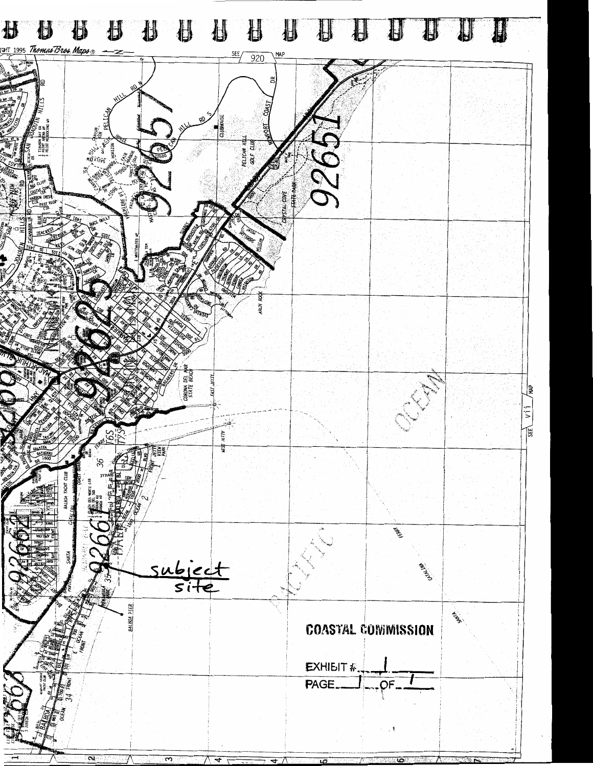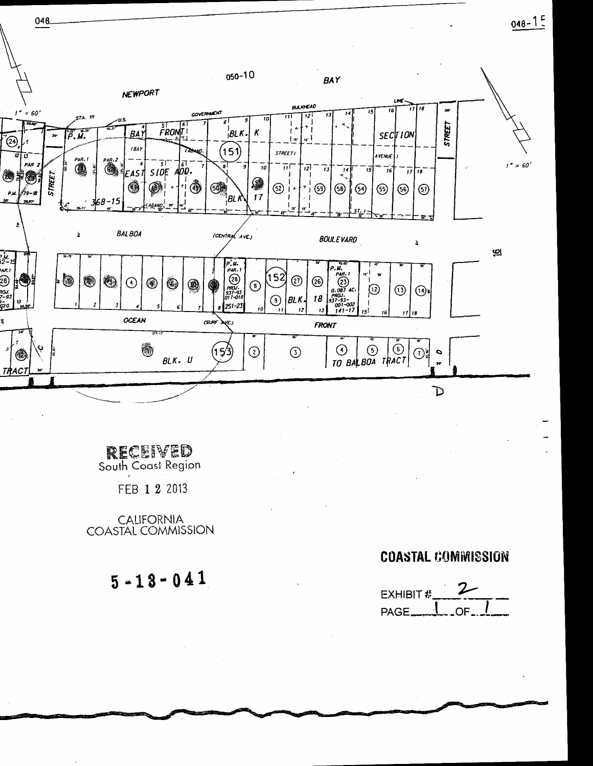



**RECEIVED**<br>South Coast Region FEB 1 2 2013

048

CALIFORNIA<br>COASTAL COMMISSION

 $5 - 13 - 041$ 

# **COASTAL COMMISSION**

EXHIBIT # PAGE\_ OF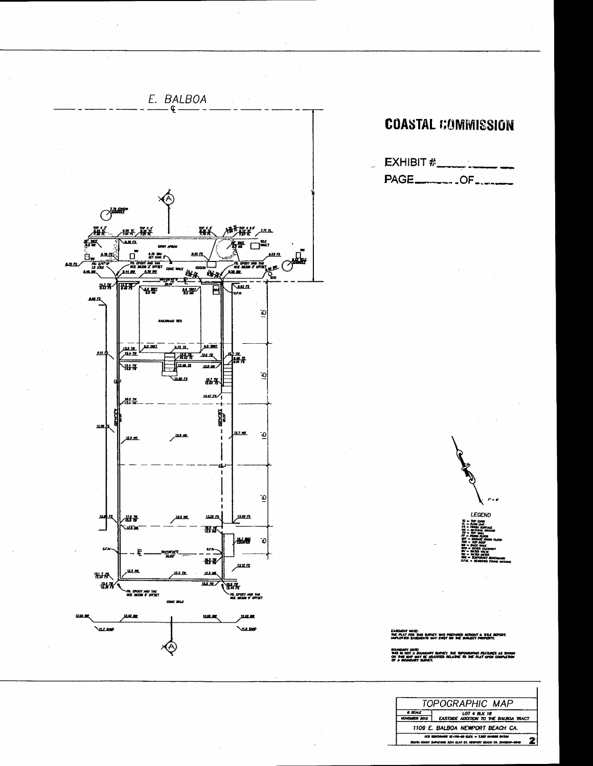

# **COASTAL COMMISSION**





EASEMENT MOR<br>THE FLAT FOR<br>HARLOTED FAL

g. <u>umer</u>

|                                                                                                                         | TOPOGRAPHIC MAP                                              |
|-------------------------------------------------------------------------------------------------------------------------|--------------------------------------------------------------|
| <b>8 SCALE</b><br>NOVEMBER 2012                                                                                         | <b>LOT 4 BLK 18</b><br>EASTSIDE ADDITION TO THE BALBOA TRACT |
| 1109 E. BALBOA NEWPORT BEACH CA.                                                                                        |                                                              |
| OCS BENDAMIN' 12-110-00 ELEX - T.OUT MAINS BATCH<br>SOUTH CONST SURVEYORS 3214 CLAY ST. NEWPORT BEACH CA. (940)631-8940 |                                                              |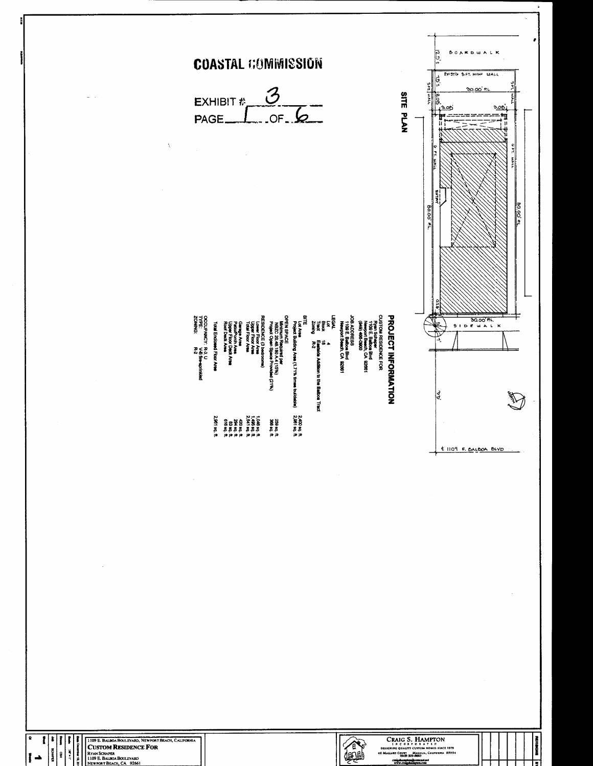

calgulampton@comcast.act<br>www.craigdiampton.com

Ţ

1109 E. BALBOA BOULEVARD, NEWFORT.<br>
CUSTOM RESIDENCE FOR<br>
RYAN SCHAPER<br>
1809 E. BALBOA BOULEVARD<br>
NEWFORT BEACH, CA 92661  $\overline{I}$   $\rightarrow$ 

e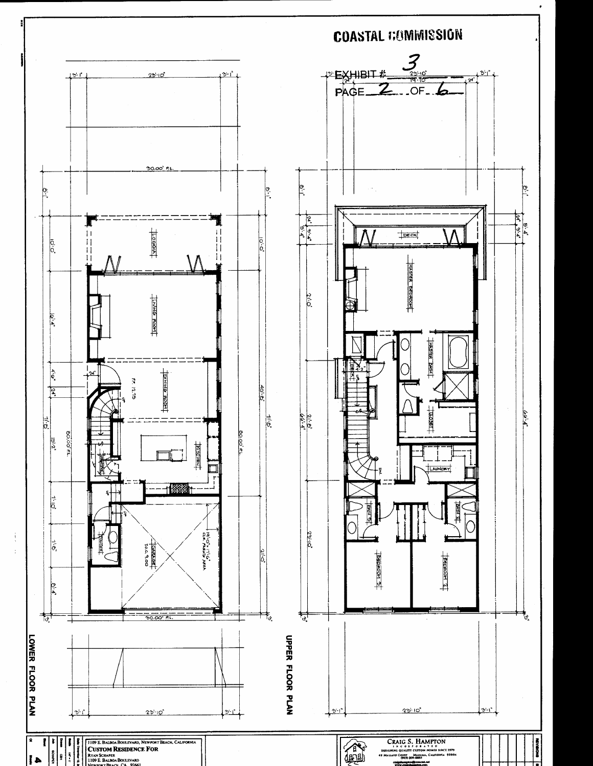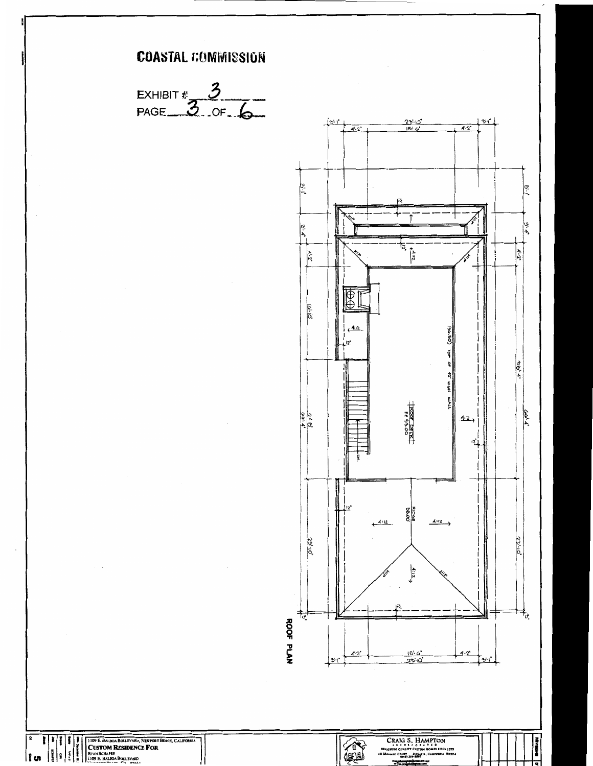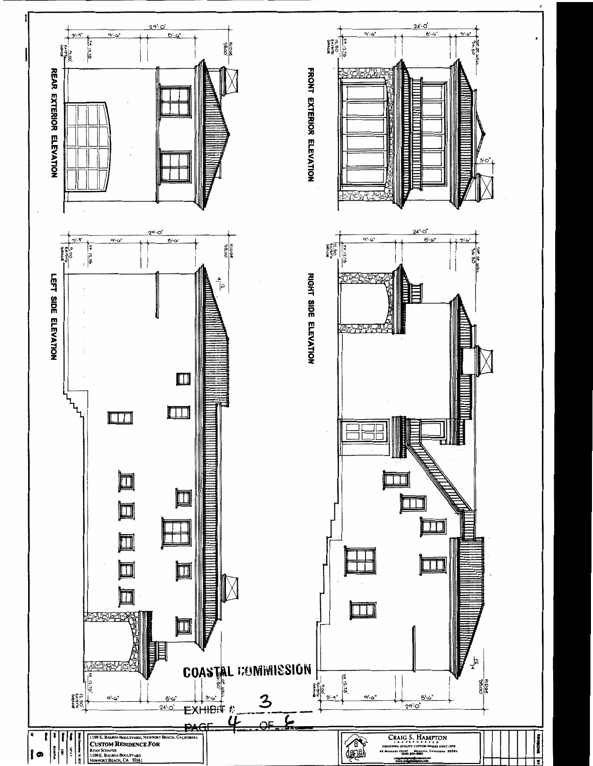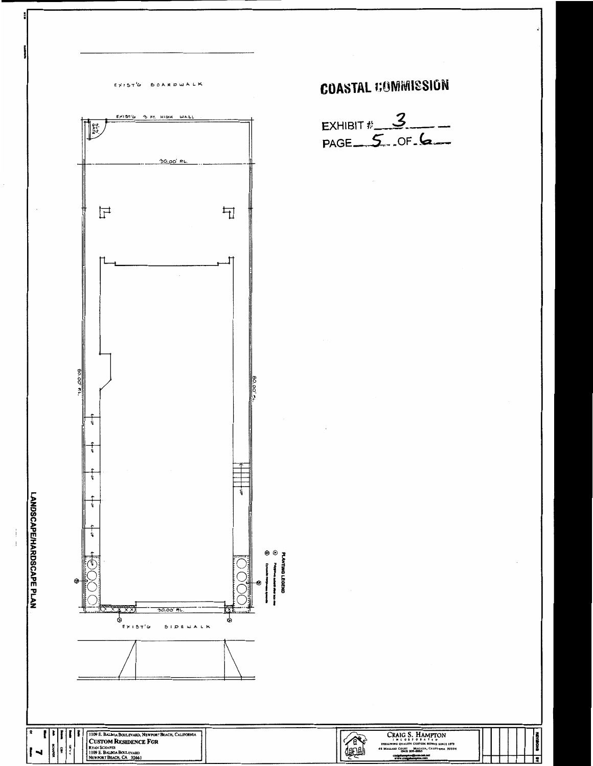